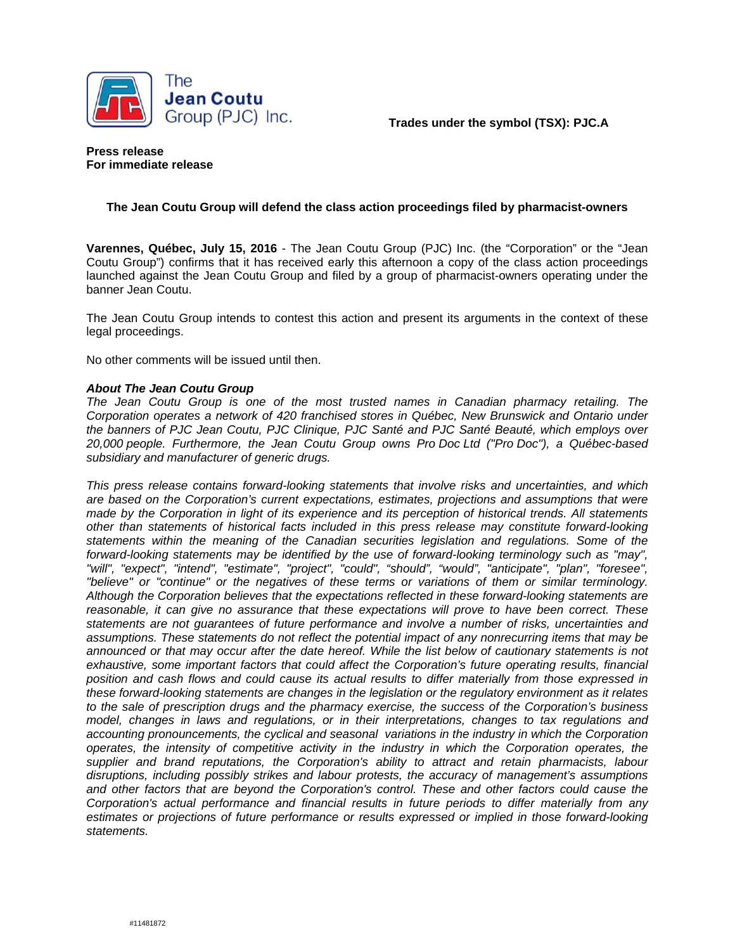

**Trades under the symbol (TSX): PJC.A** 

**Press release For immediate release** 

## **The Jean Coutu Group will defend the class action proceedings filed by pharmacist-owners**

**Varennes, Québec, July 15, 2016** - The Jean Coutu Group (PJC) Inc. (the "Corporation" or the "Jean Coutu Group") confirms that it has received early this afternoon a copy of the class action proceedings launched against the Jean Coutu Group and filed by a group of pharmacist-owners operating under the banner Jean Coutu.

The Jean Coutu Group intends to contest this action and present its arguments in the context of these legal proceedings.

No other comments will be issued until then.

## *About The Jean Coutu Group*

*The Jean Coutu Group is one of the most trusted names in Canadian pharmacy retailing. The Corporation operates a network of 420 franchised stores in Québec, New Brunswick and Ontario under the banners of PJC Jean Coutu, PJC Clinique, PJC Santé and PJC Santé Beauté, which employs over 20,000 people. Furthermore, the Jean Coutu Group owns Pro Doc Ltd ("Pro Doc"), a Québec-based subsidiary and manufacturer of generic drugs.* 

*This press release contains forward-looking statements that involve risks and uncertainties, and which are based on the Corporation's current expectations, estimates, projections and assumptions that were made by the Corporation in light of its experience and its perception of historical trends. All statements other than statements of historical facts included in this press release may constitute forward-looking statements within the meaning of the Canadian securities legislation and regulations. Some of the forward-looking statements may be identified by the use of forward-looking terminology such as "may", "will", "expect", "intend", "estimate", "project", "could", "should", "would", "anticipate", "plan", "foresee", "believe" or "continue" or the negatives of these terms or variations of them or similar terminology. Although the Corporation believes that the expectations reflected in these forward-looking statements are reasonable, it can give no assurance that these expectations will prove to have been correct. These statements are not guarantees of future performance and involve a number of risks, uncertainties and assumptions. These statements do not reflect the potential impact of any nonrecurring items that may be announced or that may occur after the date hereof. While the list below of cautionary statements is not exhaustive, some important factors that could affect the Corporation's future operating results, financial position and cash flows and could cause its actual results to differ materially from those expressed in these forward-looking statements are changes in the legislation or the regulatory environment as it relates to the sale of prescription drugs and the pharmacy exercise, the success of the Corporation's business model, changes in laws and regulations, or in their interpretations, changes to tax regulations and accounting pronouncements, the cyclical and seasonal variations in the industry in which the Corporation operates, the intensity of competitive activity in the industry in which the Corporation operates, the supplier and brand reputations, the Corporation's ability to attract and retain pharmacists, labour disruptions, including possibly strikes and labour protests, the accuracy of management's assumptions and other factors that are beyond the Corporation's control. These and other factors could cause the Corporation's actual performance and financial results in future periods to differ materially from any estimates or projections of future performance or results expressed or implied in those forward-looking statements.*